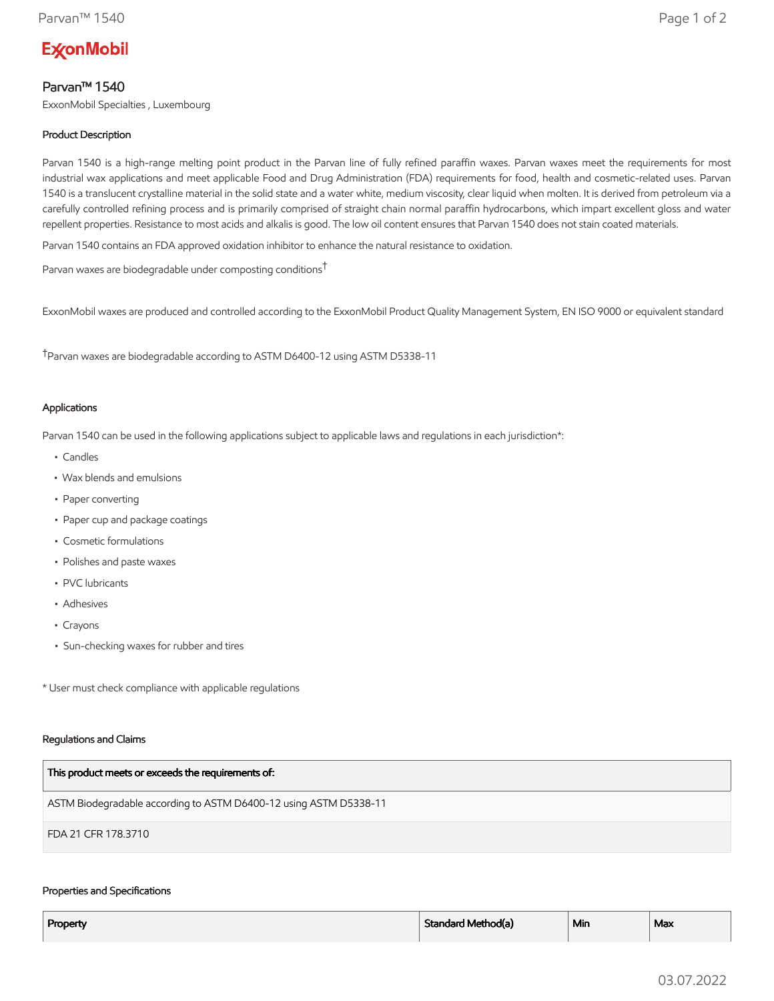# **ExconMobil**

## Parvan™ 1540

ExxonMobil Specialties , Luxembourg

### Product Description

Parvan 1540 is a high-range melting point product in the Parvan line of fully refined paraffin waxes. Parvan waxes meet the requirements for most industrial wax applications and meet applicable Food and Drug Administration (FDA) requirements for food, health and cosmetic-related uses. Parvan 1540 is a translucent crystalline material in the solid state and a water white, medium viscosity, clear liquid when molten. It is derived from petroleum via a carefully controlled refining process and is primarily comprised of straight chain normal paraffin hydrocarbons, which impart excellent gloss and water repellent properties. Resistance to most acids and alkalis is good. The low oil content ensures that Parvan 1540 does not stain coated materials.

Parvan 1540 contains an FDA approved oxidation inhibitor to enhance the natural resistance to oxidation.

Parvan waxes are biodegradable under composting conditions†

ExxonMobil waxes are produced and controlled according to the ExxonMobil Product Quality Management System, EN ISO 9000 or equivalent standard

†Parvan waxes are biodegradable according to ASTM D6400-12 using ASTM D5338-11

#### Applications

Parvan 1540 can be used in the following applications subject to applicable laws and regulations in each jurisdiction\*:

- Candles
- Wax blends and emulsions
- Paper converting
- Paper cup and package coatings
- Cosmetic formulations
- Polishes and paste waxes
- PVC lubricants
- Adhesives
- Crayons
- Sun-checking waxes for rubber and tires

\* User must check compliance with applicable regulations

#### Regulations and Claims

| This product meets or exceeds the requirements of:                |
|-------------------------------------------------------------------|
| ASTM Biodegradable according to ASTM D6400-12 using ASTM D5338-11 |
| FDA 21 CFR 178.3710                                               |

#### Properties and Specifications

| Property | Standard Method(a) | <sup>1</sup> Min | Max |
|----------|--------------------|------------------|-----|
|          |                    |                  |     |